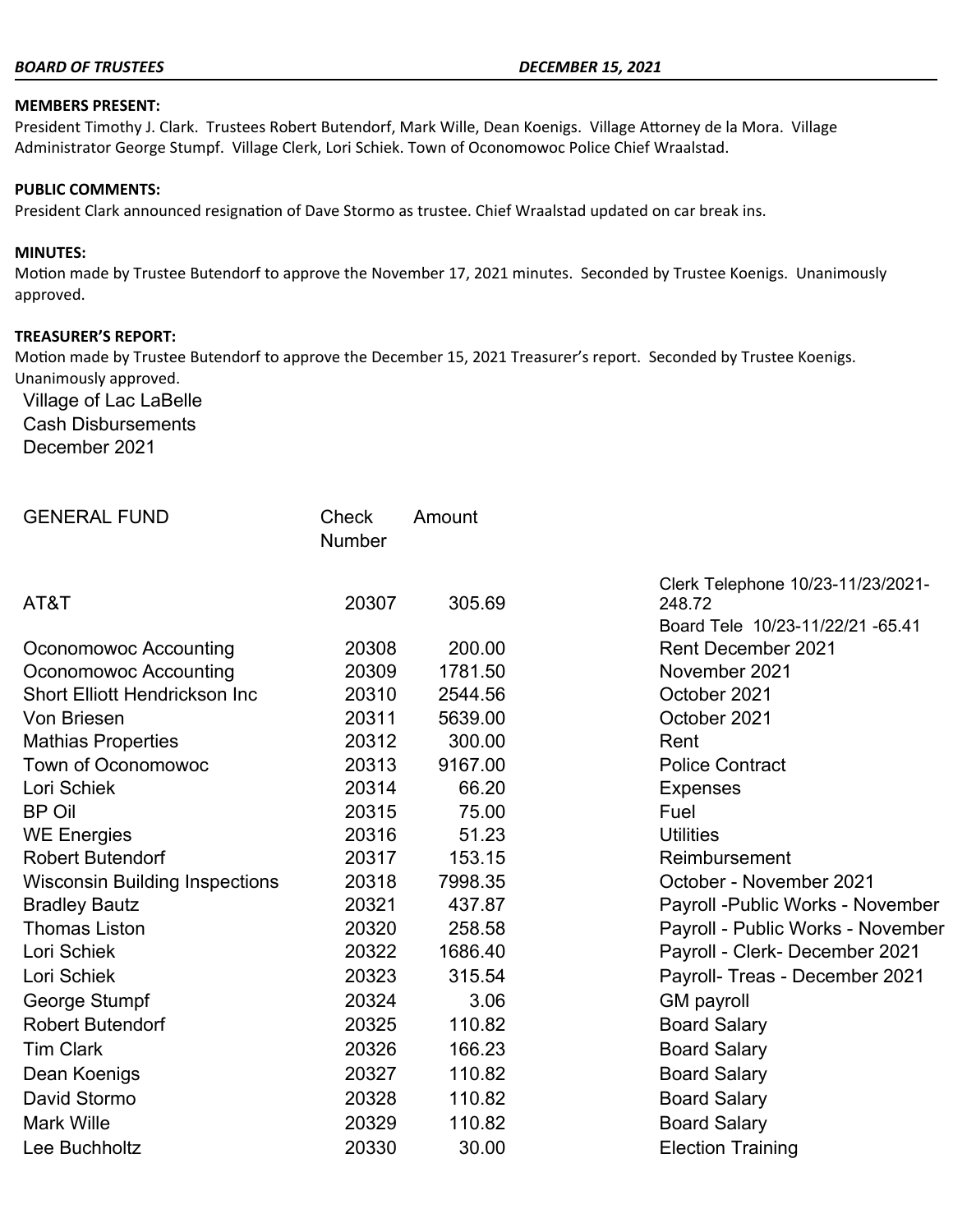#### *BOARD OF TRUSTEES DECEMBER 15, 2021*

#### **MEMBERS PRESENT:**

President Timothy J. Clark. Trustees Robert Butendorf, Mark Wille, Dean Koenigs. Village Attorney de la Mora. Village Administrator George Stumpf. Village Clerk, Lori Schiek. Town of Oconomowoc Police Chief Wraalstad.

#### **PUBLIC COMMENTS:**

President Clark announced resignation of Dave Stormo as trustee. Chief Wraalstad updated on car break ins.

#### **MINUTES:**

Motion made by Trustee Butendorf to approve the November 17, 2021 minutes. Seconded by Trustee Koenigs. Unanimously approved.

#### **TREASURER'S REPORT:**

Motion made by Trustee Butendorf to approve the December 15, 2021 Treasurer's report. Seconded by Trustee Koenigs. Unanimously approved.

Village of Lac LaBelle Cash Disbursements December 2021

| <b>GENERAL FUND</b>                   | Check<br>Number | Amount  |                                                                                 |
|---------------------------------------|-----------------|---------|---------------------------------------------------------------------------------|
| AT&T                                  | 20307           | 305.69  | Clerk Telephone 10/23-11/23/2021-<br>248.72<br>Board Tele 10/23-11/22/21 -65.41 |
| Oconomowoc Accounting                 | 20308           | 200.00  | <b>Rent December 2021</b>                                                       |
| Oconomowoc Accounting                 | 20309           | 1781.50 | November 2021                                                                   |
| <b>Short Elliott Hendrickson Inc.</b> | 20310           | 2544.56 | October 2021                                                                    |
| Von Briesen                           | 20311           | 5639.00 | October 2021                                                                    |
| <b>Mathias Properties</b>             | 20312           | 300.00  | Rent                                                                            |
| <b>Town of Oconomowoc</b>             | 20313           | 9167.00 | <b>Police Contract</b>                                                          |
| Lori Schiek                           | 20314           | 66.20   | <b>Expenses</b>                                                                 |
| <b>BP Oil</b>                         | 20315           | 75.00   | Fuel                                                                            |
| <b>WE Energies</b>                    | 20316           | 51.23   | <b>Utilities</b>                                                                |
| <b>Robert Butendorf</b>               | 20317           | 153.15  | Reimbursement                                                                   |
| <b>Wisconsin Building Inspections</b> | 20318           | 7998.35 | October - November 2021                                                         |
| <b>Bradley Bautz</b>                  | 20321           | 437.87  | Payroll - Public Works - November                                               |
| <b>Thomas Liston</b>                  | 20320           | 258.58  | Payroll - Public Works - November                                               |
| Lori Schiek                           | 20322           | 1686.40 | Payroll - Clerk- December 2021                                                  |
| Lori Schiek                           | 20323           | 315.54  | Payroll- Treas - December 2021                                                  |
| George Stumpf                         | 20324           | 3.06    | <b>GM</b> payroll                                                               |
| <b>Robert Butendorf</b>               | 20325           | 110.82  | <b>Board Salary</b>                                                             |
| <b>Tim Clark</b>                      | 20326           | 166.23  | <b>Board Salary</b>                                                             |
| Dean Koenigs                          | 20327           | 110.82  | <b>Board Salary</b>                                                             |
| David Stormo                          | 20328           | 110.82  | <b>Board Salary</b>                                                             |
| <b>Mark Wille</b>                     | 20329           | 110.82  | <b>Board Salary</b>                                                             |
| Lee Buchholtz                         | 20330           | 30.00   | <b>Election Training</b>                                                        |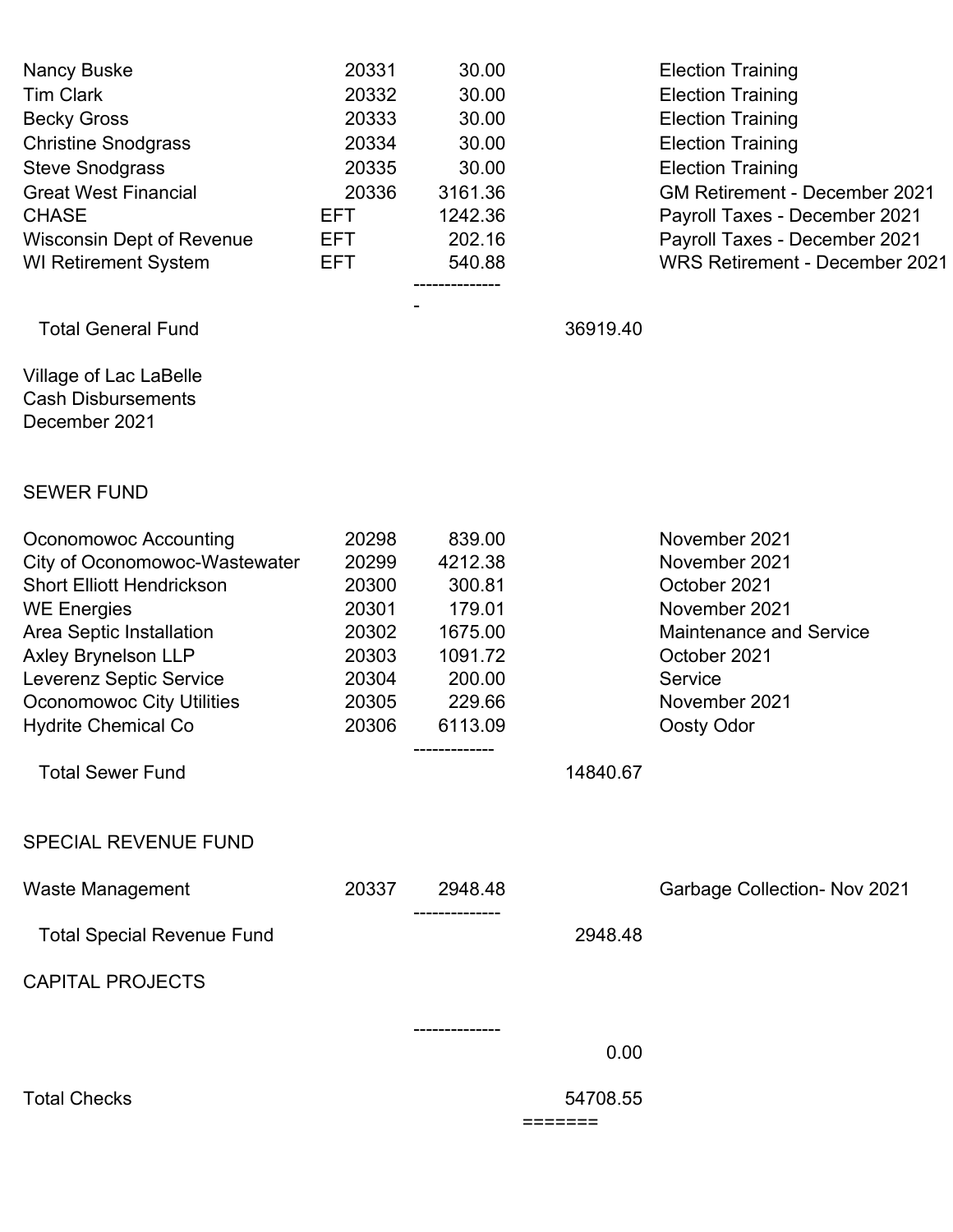| Nancy Buske<br><b>Tim Clark</b><br><b>Becky Gross</b><br><b>Christine Snodgrass</b><br><b>Steve Snodgrass</b><br><b>Great West Financial</b><br><b>CHASE</b><br><b>Wisconsin Dept of Revenue</b><br><b>WI Retirement System</b>                                                | 20331<br>20332<br>20333<br>20334<br>20335<br>20336<br><b>EFT</b><br><b>EFT</b><br><b>EFT</b> | 30.00<br>30.00<br>30.00<br>30.00<br>30.00<br>3161.36<br>1242.36<br>202.16<br>540.88        |                    | <b>Election Training</b><br><b>Election Training</b><br><b>Election Training</b><br><b>Election Training</b><br><b>Election Training</b><br><b>GM Retirement - December 2021</b><br>Payroll Taxes - December 2021<br>Payroll Taxes - December 2021<br>WRS Retirement - December 2021 |
|--------------------------------------------------------------------------------------------------------------------------------------------------------------------------------------------------------------------------------------------------------------------------------|----------------------------------------------------------------------------------------------|--------------------------------------------------------------------------------------------|--------------------|--------------------------------------------------------------------------------------------------------------------------------------------------------------------------------------------------------------------------------------------------------------------------------------|
| <b>Total General Fund</b>                                                                                                                                                                                                                                                      |                                                                                              |                                                                                            | 36919.40           |                                                                                                                                                                                                                                                                                      |
| Village of Lac LaBelle<br><b>Cash Disbursements</b><br>December 2021                                                                                                                                                                                                           |                                                                                              |                                                                                            |                    |                                                                                                                                                                                                                                                                                      |
| <b>SEWER FUND</b>                                                                                                                                                                                                                                                              |                                                                                              |                                                                                            |                    |                                                                                                                                                                                                                                                                                      |
| Oconomowoc Accounting<br>City of Oconomowoc-Wastewater<br><b>Short Elliott Hendrickson</b><br><b>WE Energies</b><br>Area Septic Installation<br><b>Axley Brynelson LLP</b><br><b>Leverenz Septic Service</b><br><b>Oconomowoc City Utilities</b><br><b>Hydrite Chemical Co</b> | 20298<br>20299<br>20300<br>20301<br>20302<br>20303<br>20304<br>20305<br>20306                | 839.00<br>4212.38<br>300.81<br>179.01<br>1675.00<br>1091.72<br>200.00<br>229.66<br>6113.09 |                    | November 2021<br>November 2021<br>October 2021<br>November 2021<br><b>Maintenance and Service</b><br>October 2021<br>Service<br>November 2021<br>Oosty Odor                                                                                                                          |
| <b>Total Sewer Fund</b>                                                                                                                                                                                                                                                        |                                                                                              | -------------                                                                              | 14840.67           |                                                                                                                                                                                                                                                                                      |
| <b>SPECIAL REVENUE FUND</b>                                                                                                                                                                                                                                                    |                                                                                              |                                                                                            |                    |                                                                                                                                                                                                                                                                                      |
| <b>Waste Management</b>                                                                                                                                                                                                                                                        | 20337                                                                                        | 2948.48<br>.                                                                               |                    | <b>Garbage Collection- Nov 2021</b>                                                                                                                                                                                                                                                  |
| <b>Total Special Revenue Fund</b>                                                                                                                                                                                                                                              |                                                                                              |                                                                                            | 2948.48            |                                                                                                                                                                                                                                                                                      |
| <b>CAPITAL PROJECTS</b>                                                                                                                                                                                                                                                        |                                                                                              |                                                                                            |                    |                                                                                                                                                                                                                                                                                      |
|                                                                                                                                                                                                                                                                                |                                                                                              | --------------                                                                             | 0.00               |                                                                                                                                                                                                                                                                                      |
| <b>Total Checks</b>                                                                                                                                                                                                                                                            |                                                                                              |                                                                                            | 54708.55<br>====== |                                                                                                                                                                                                                                                                                      |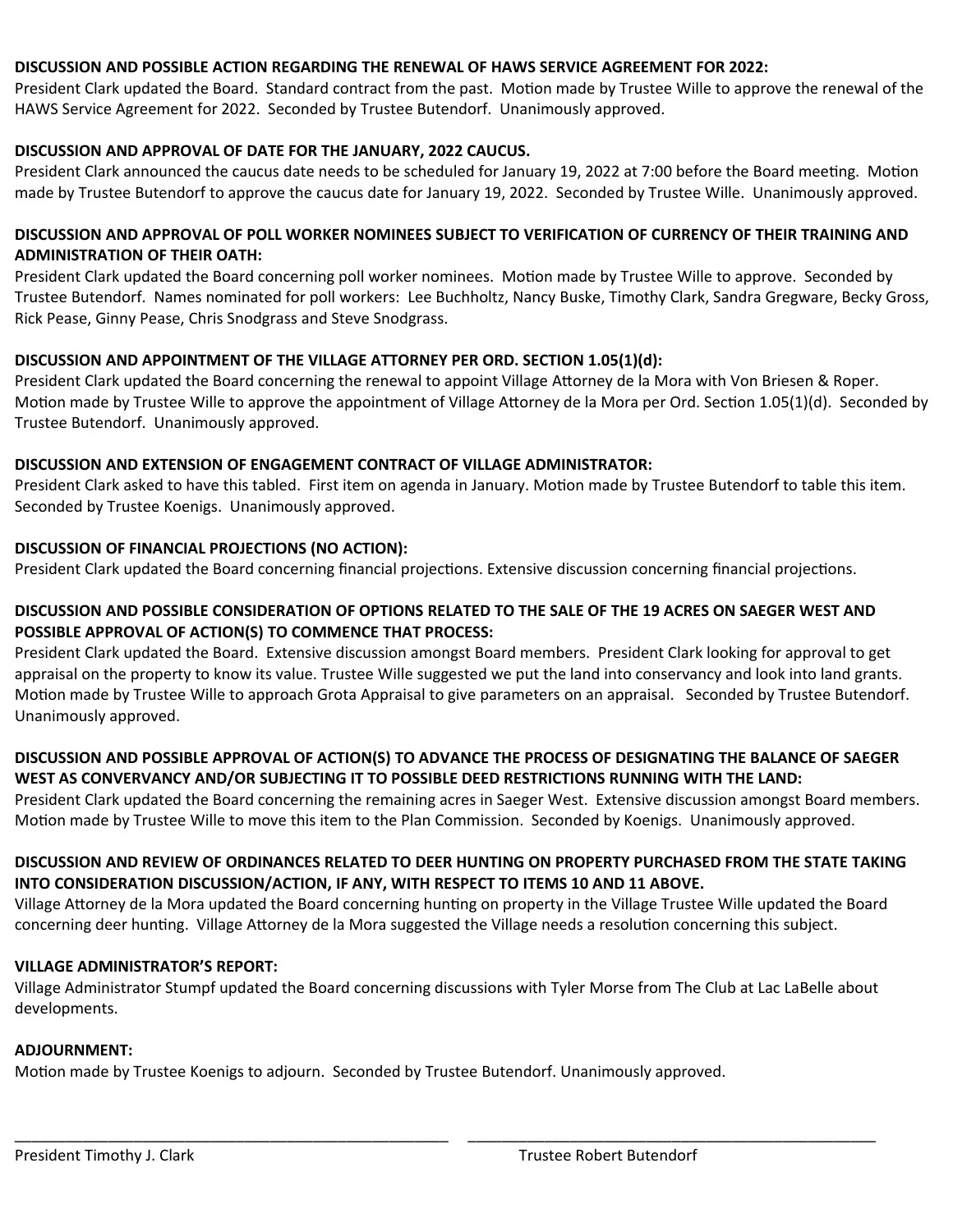#### **DISCUSSION AND POSSIBLE ACTION REGARDING THE RENEWAL OF HAWS SERVICE AGREEMENT FOR 2022:**

President Clark updated the Board. Standard contract from the past. Motion made by Trustee Wille to approve the renewal of the HAWS Service Agreement for 2022. Seconded by Trustee Butendorf. Unanimously approved.

### **DISCUSSION AND APPROVAL OF DATE FOR THE JANUARY, 2022 CAUCUS.**

President Clark announced the caucus date needs to be scheduled for January 19, 2022 at 7:00 before the Board meeting. Motion made by Trustee Butendorf to approve the caucus date for January 19, 2022. Seconded by Trustee Wille. Unanimously approved.

### **DISCUSSION AND APPROVAL OF POLL WORKER NOMINEES SUBJECT TO VERIFICATION OF CURRENCY OF THEIR TRAINING AND ADMINISTRATION OF THEIR OATH:**

President Clark updated the Board concerning poll worker nominees. Motion made by Trustee Wille to approve. Seconded by Trustee Butendorf. Names nominated for poll workers: Lee Buchholtz, Nancy Buske, Timothy Clark, Sandra Gregware, Becky Gross, Rick Pease, Ginny Pease, Chris Snodgrass and Steve Snodgrass.

### **DISCUSSION AND APPOINTMENT OF THE VILLAGE ATTORNEY PER ORD. SECTION 1.05(1)(d):**

President Clark updated the Board concerning the renewal to appoint Village Attorney de la Mora with Von Briesen & Roper. Motion made by Trustee Wille to approve the appointment of Village Attorney de la Mora per Ord. Section 1.05(1)(d). Seconded by Trustee Butendorf. Unanimously approved.

### **DISCUSSION AND EXTENSION OF ENGAGEMENT CONTRACT OF VILLAGE ADMINISTRATOR:**

President Clark asked to have this tabled. First item on agenda in January. Motion made by Trustee Butendorf to table this item. Seconded by Trustee Koenigs. Unanimously approved.

### **DISCUSSION OF FINANCIAL PROJECTIONS (NO ACTION):**

President Clark updated the Board concerning financial projections. Extensive discussion concerning financial projections.

### **DISCUSSION AND POSSIBLE CONSIDERATION OF OPTIONS RELATED TO THE SALE OF THE 19 ACRES ON SAEGER WEST AND POSSIBLE APPROVAL OF ACTION(S) TO COMMENCE THAT PROCESS:**

President Clark updated the Board. Extensive discussion amongst Board members. President Clark looking for approval to get appraisal on the property to know its value. Trustee Wille suggested we put the land into conservancy and look into land grants. Motion made by Trustee Wille to approach Grota Appraisal to give parameters on an appraisal. Seconded by Trustee Butendorf. Unanimously approved.

# **DISCUSSION AND POSSIBLE APPROVAL OF ACTION(S) TO ADVANCE THE PROCESS OF DESIGNATING THE BALANCE OF SAEGER WEST AS CONVERVANCY AND/OR SUBJECTING IT TO POSSIBLE DEED RESTRICTIONS RUNNING WITH THE LAND:**

President Clark updated the Board concerning the remaining acres in Saeger West. Extensive discussion amongst Board members. Motion made by Trustee Wille to move this item to the Plan Commission. Seconded by Koenigs. Unanimously approved.

## **DISCUSSION AND REVIEW OF ORDINANCES RELATED TO DEER HUNTING ON PROPERTY PURCHASED FROM THE STATE TAKING INTO CONSIDERATION DISCUSSION/ACTION, IF ANY, WITH RESPECT TO ITEMS 10 AND 11 ABOVE.**

Village Attorney de la Mora updated the Board concerning hunting on property in the Village Trustee Wille updated the Board concerning deer hunting. Village Attorney de la Mora suggested the Village needs a resolution concerning this subject.

# **VILLAGE ADMINISTRATOR'S REPORT:**

Village Administrator Stumpf updated the Board concerning discussions with Tyler Morse from The Club at Lac LaBelle about developments.

\_\_\_\_\_\_\_\_\_\_\_\_\_\_\_\_\_\_\_\_\_\_\_\_\_\_\_\_\_\_\_\_\_\_\_\_\_\_\_\_\_\_\_\_\_\_\_\_\_\_\_ \_\_\_\_\_\_\_\_\_\_\_\_\_\_\_\_\_\_\_\_\_\_\_\_\_\_\_\_\_\_\_\_\_\_\_\_\_\_\_\_\_\_\_\_\_\_\_\_

## **ADJOURNMENT:**

Motion made by Trustee Koenigs to adjourn. Seconded by Trustee Butendorf. Unanimously approved.